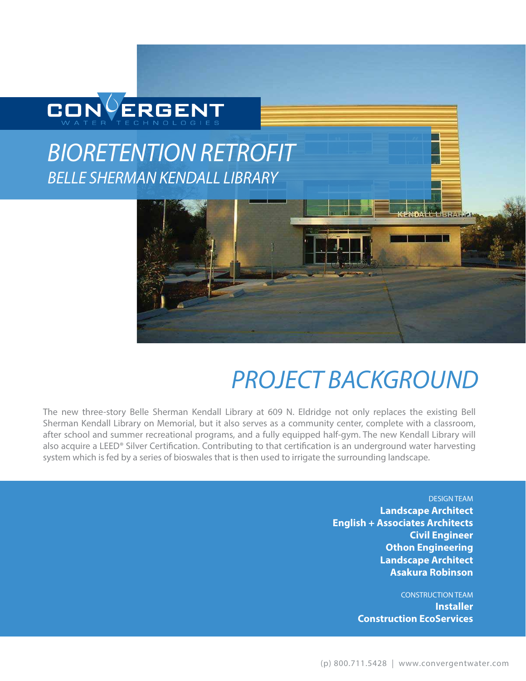

## *BIORETENTION RETROFIT BELLE SHERMAN KENDALL LIBRARY*



# *PROJECT BACKGROUND*

The new three-story Belle Sherman Kendall Library at 609 N. Eldridge not only replaces the existing Bell Sherman Kendall Library on Memorial, but it also serves as a community center, complete with a classroom, after school and summer recreational programs, and a fully equipped half-gym. The new Kendall Library will also acquire a LEED® Silver Certification. Contributing to that certification is an underground water harvesting system which is fed by a series of bioswales that is then used to irrigate the surrounding landscape.

> DESIGN TEAM **Landscape Architect English + Associates Architects Civil Engineer Othon Engineering Landscape Architect Asakura Robinson**

> > CONSTRUCTION TEAM **Installer Construction EcoServices**